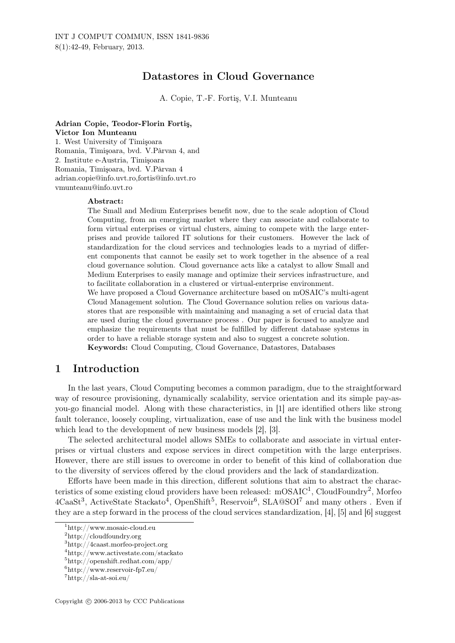# Datastores in Cloud Governance

A. Copie, T.-F. Fortiş, V.I. Munteanu

Adrian Copie, Teodor-Florin Fortiş, Victor Ion Munteanu 1. West University of Timişoara Romania, Timişoara, bvd. V.Pârvan 4, and 2. Institute e-Austria, Timişoara Romania, Timişoara, bvd. V.Pârvan 4 adrian.copie@info.uvt.ro,fortis@info.uvt.ro vmunteanu@info.uvt.ro

#### Abstract:

The Small and Medium Enterprises benefit now, due to the scale adoption of Cloud Computing, from an emerging market where they can associate and collaborate to form virtual enterprises or virtual clusters, aiming to compete with the large enterprises and provide tailored IT solutions for their customers. However the lack of standardization for the cloud services and technologies leads to a myriad of different components that cannot be easily set to work together in the absence of a real cloud governance solution. Cloud governance acts like a catalyst to allow Small and Medium Enterprises to easily manage and optimize their services infrastructure, and to facilitate collaboration in a clustered or virtual-enterprise environment.

We have proposed a Cloud Governance architecture based on mOSAIC's multi-agent Cloud Management solution. The Cloud Governance solution relies on various datastores that are responsible with maintaining and managing a set of crucial data that are used during the cloud governance process . Our paper is focused to analyze and emphasize the requirements that must be fulfilled by different database systems in order to have a reliable storage system and also to suggest a concrete solution. Keywords: Cloud Computing, Cloud Governance, Datastores, Databases

## 1 Introduction

In the last years, Cloud Computing becomes a common paradigm, due to the straightforward way of resource provisioning, dynamically scalability, service orientation and its simple pay-asyou-go financial model. Along with these characteristics, in [1] are identified others like strong fault tolerance, loosely coupling, virtualization, ease of use and the link with the business model which lead to the development of new business models [2], [3].

The selected architectural model allows SMEs to collaborate and associate in virtual enterprises or virtual clusters and expose services in direct competition with the large enterprises. However, there are still issues to overcome in order to benefit of this kind of collaboration due to the diversity of services offered by the cloud providers and the lack of standardization.

Efforts have been made in this direction, different solutions that aim to abstract the characteristics of some existing cloud providers have been released:  $mOSAIC<sup>1</sup>$ , CloudFoundry<sup>2</sup>, Morfeo  $4Caas\mathfrak{t}^3$ , ActiveState Stackato<sup>4</sup>, OpenShift<sup>5</sup>, Reservoir<sup>6</sup>, SLA@SOI<sup>7</sup> and many others. Even if they are a step forward in the process of the cloud services standardization, [4], [5] and [6] suggest

<sup>1</sup>http://www.mosaic-cloud.eu

 $^{2}$ http://cloudfoundry.org

<sup>3</sup>http://4caast.morfeo-project.org

<sup>4</sup>http://www.activestate.com/stackato

 $5$ http://openshift.redhat.com/app/

 $6$ http://www.reservoir-fp7.eu/

<sup>7</sup>http://sla-at-soi.eu/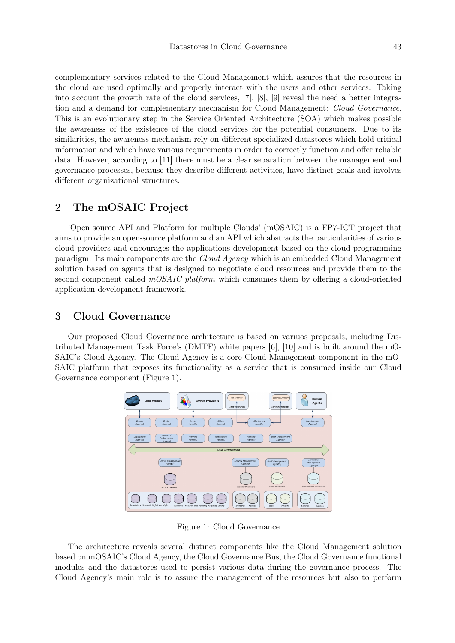complementary services related to the Cloud Management which assures that the resources in the cloud are used optimally and properly interact with the users and other services. Taking into account the growth rate of the cloud services, [7], [8], [9] reveal the need a better integration and a demand for complementary mechanism for Cloud Management: *Cloud Governance*. This is an evolutionary step in the Service Oriented Architecture (SOA) which makes possible the awareness of the existence of the cloud services for the potential consumers. Due to its similarities, the awareness mechanism rely on different specialized datastores which hold critical information and which have various requirements in order to correctly function and offer reliable data. However, according to [11] there must be a clear separation between the management and governance processes, because they describe different activities, have distinct goals and involves different organizational structures.

## 2 The mOSAIC Project

'Open source API and Platform for multiple Clouds' (mOSAIC) is a FP7-ICT project that aims to provide an open-source platform and an API which abstracts the particularities of various cloud providers and encourages the applications development based on the cloud-programming paradigm. Its main components are the *Cloud Agency* which is an embedded Cloud Management solution based on agents that is designed to negotiate cloud resources and provide them to the second component called *mOSAIC platform* which consumes them by offering a cloud-oriented application development framework.

### 3 Cloud Governance

Our proposed Cloud Governance architecture is based on variuos proposals, including Distributed Management Task Force's (DMTF) white papers [6], [10] and is built around the mO-SAIC's Cloud Agency. The Cloud Agency is a core Cloud Management component in the mO-SAIC platform that exposes its functionality as a service that is consumed inside our Cloud Governance component (Figure 1).



Figure 1: Cloud Governance

The architecture reveals several distinct components like the Cloud Management solution based on mOSAIC's Cloud Agency, the Cloud Governance Bus, the Cloud Governance functional modules and the datastores used to persist various data during the governance process. The Cloud Agency's main role is to assure the management of the resources but also to perform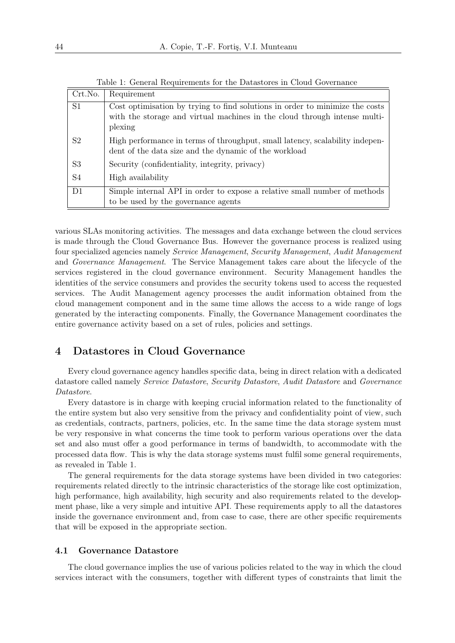| Crt.No.        | Requirement                                                                                                                                                          |
|----------------|----------------------------------------------------------------------------------------------------------------------------------------------------------------------|
| S <sub>1</sub> | Cost optimisation by trying to find solutions in order to minimize the costs<br>with the storage and virtual machines in the cloud through intense multi-<br>plexing |
| S <sub>2</sub> | High performance in terms of throughput, small latency, scalability indepen-<br>dent of the data size and the dynamic of the workload                                |
| S <sub>3</sub> | Security (confidentiality, integrity, privacy)                                                                                                                       |
| S <sub>4</sub> | High availability                                                                                                                                                    |
| D <sub>1</sub> | Simple internal API in order to expose a relative small number of methods<br>to be used by the governance agents                                                     |

Table 1: General Requirements for the Datastores in Cloud Governance

various SLAs monitoring activities. The messages and data exchange between the cloud services is made through the Cloud Governance Bus. However the governance process is realized using four specialized agencies namely *Service Management*, *Security Management*, *Audit Management* and *Governance Management*. The Service Management takes care about the lifecycle of the services registered in the cloud governance environment. Security Management handles the identities of the service consumers and provides the security tokens used to access the requested services. The Audit Management agency processes the audit information obtained from the cloud management component and in the same time allows the access to a wide range of logs generated by the interacting components. Finally, the Governance Management coordinates the entire governance activity based on a set of rules, policies and settings.

# 4 Datastores in Cloud Governance

Every cloud governance agency handles specific data, being in direct relation with a dedicated datastore called namely *Service Datastore*, *Security Datastore*, *Audit Datastore* and *Governance Datastore*.

Every datastore is in charge with keeping crucial information related to the functionality of the entire system but also very sensitive from the privacy and confidentiality point of view, such as credentials, contracts, partners, policies, etc. In the same time the data storage system must be very responsive in what concerns the time took to perform various operations over the data set and also must offer a good performance in terms of bandwidth, to accommodate with the processed data flow. This is why the data storage systems must fulfil some general requirements, as revealed in Table 1.

The general requirements for the data storage systems have been divided in two categories: requirements related directly to the intrinsic characteristics of the storage like cost optimization, high performance, high availability, high security and also requirements related to the development phase, like a very simple and intuitive API. These requirements apply to all the datastores inside the governance environment and, from case to case, there are other specific requirements that will be exposed in the appropriate section.

#### 4.1 Governance Datastore

The cloud governance implies the use of various policies related to the way in which the cloud services interact with the consumers, together with different types of constraints that limit the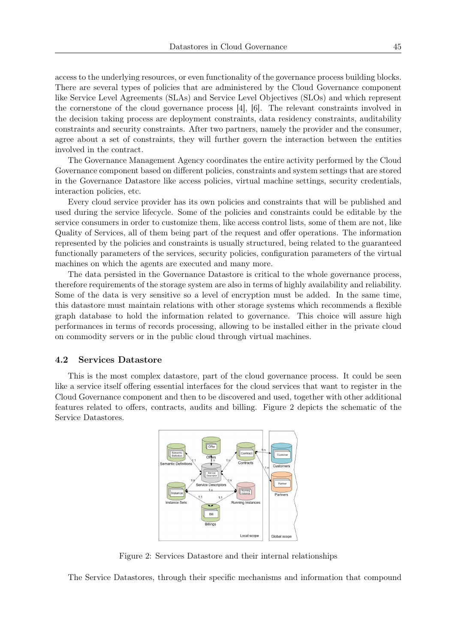access to the underlying resources, or even functionality of the governance process building blocks. There are several types of policies that are administered by the Cloud Governance component like Service Level Agreements (SLAs) and Service Level Objectives (SLOs) and which represent the cornerstone of the cloud governance process [4], [6]. The relevant constraints involved in the decision taking process are deployment constraints, data residency constraints, auditability constraints and security constraints. After two partners, namely the provider and the consumer, agree about a set of constraints, they will further govern the interaction between the entities involved in the contract.

The Governance Management Agency coordinates the entire activity performed by the Cloud Governance component based on different policies, constraints and system settings that are stored in the Governance Datastore like access policies, virtual machine settings, security credentials, interaction policies, etc.

Every cloud service provider has its own policies and constraints that will be published and used during the service lifecycle. Some of the policies and constraints could be editable by the service consumers in order to customize them, like access control lists, some of them are not, like Quality of Services, all of them being part of the request and offer operations. The information represented by the policies and constraints is usually structured, being related to the guaranteed functionally parameters of the services, security policies, configuration parameters of the virtual machines on which the agents are executed and many more.

The data persisted in the Governance Datastore is critical to the whole governance process, therefore requirements of the storage system are also in terms of highly availability and reliability. Some of the data is very sensitive so a level of encryption must be added. In the same time, this datastore must maintain relations with other storage systems which recommends a flexible graph database to hold the information related to governance. This choice will assure high performances in terms of records processing, allowing to be installed either in the private cloud on commodity servers or in the public cloud through virtual machines.

#### 4.2 Services Datastore

This is the most complex datastore, part of the cloud governance process. It could be seen like a service itself offering essential interfaces for the cloud services that want to register in the Cloud Governance component and then to be discovered and used, together with other additional features related to offers, contracts, audits and billing. Figure 2 depicts the schematic of the Service Datastores.



Figure 2: Services Datastore and their internal relationships

The Service Datastores, through their specific mechanisms and information that compound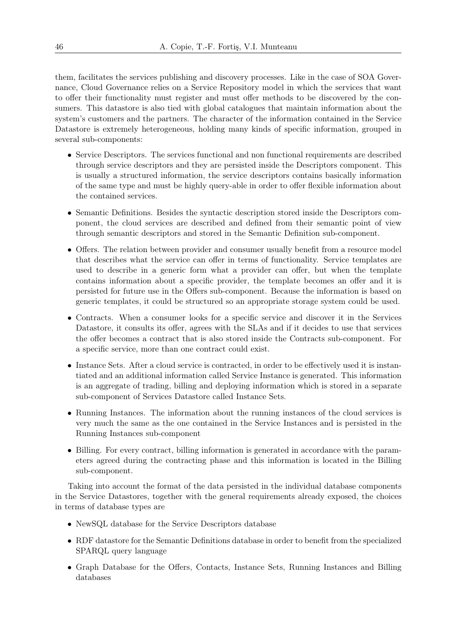them, facilitates the services publishing and discovery processes. Like in the case of SOA Governance, Cloud Governance relies on a Service Repository model in which the services that want to offer their functionality must register and must offer methods to be discovered by the consumers. This datastore is also tied with global catalogues that maintain information about the system's customers and the partners. The character of the information contained in the Service Datastore is extremely heterogeneous, holding many kinds of specific information, grouped in several sub-components:

- Service Descriptors. The services functional and non functional requirements are described through service descriptors and they are persisted inside the Descriptors component. This is usually a structured information, the service descriptors contains basically information of the same type and must be highly query-able in order to offer flexible information about the contained services.
- *•* Semantic Definitions. Besides the syntactic description stored inside the Descriptors component, the cloud services are described and defined from their semantic point of view through semantic descriptors and stored in the Semantic Definition sub-component.
- Offers. The relation between provider and consumer usually benefit from a resource model that describes what the service can offer in terms of functionality. Service templates are used to describe in a generic form what a provider can offer, but when the template contains information about a specific provider, the template becomes an offer and it is persisted for future use in the Offers sub-component. Because the information is based on generic templates, it could be structured so an appropriate storage system could be used.
- Contracts. When a consumer looks for a specific service and discover it in the Services Datastore, it consults its offer, agrees with the SLAs and if it decides to use that services the offer becomes a contract that is also stored inside the Contracts sub-component. For a specific service, more than one contract could exist.
- Instance Sets. After a cloud service is contracted, in order to be effectively used it is instantiated and an additional information called Service Instance is generated. This information is an aggregate of trading, billing and deploying information which is stored in a separate sub-component of Services Datastore called Instance Sets.
- Running Instances. The information about the running instances of the cloud services is very much the same as the one contained in the Service Instances and is persisted in the Running Instances sub-component
- Billing. For every contract, billing information is generated in accordance with the parameters agreed during the contracting phase and this information is located in the Billing sub-component.

Taking into account the format of the data persisted in the individual database components in the Service Datastores, together with the general requirements already exposed, the choices in terms of database types are

- *•* NewSQL database for the Service Descriptors database
- RDF datastore for the Semantic Definitions database in order to benefit from the specialized SPARQL query language
- *•* Graph Database for the Offers, Contacts, Instance Sets, Running Instances and Billing databases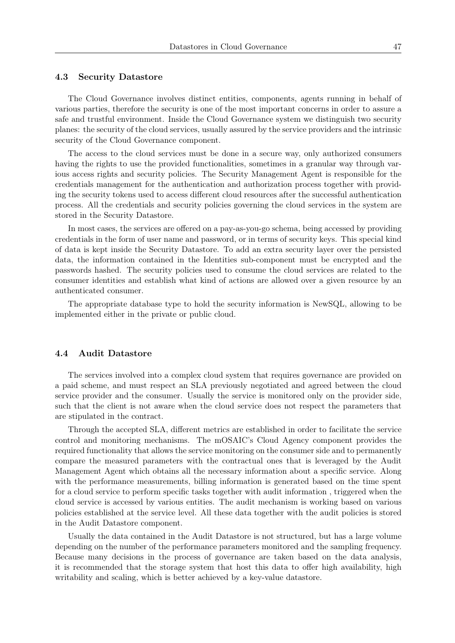#### 4.3 Security Datastore

The Cloud Governance involves distinct entities, components, agents running in behalf of various parties, therefore the security is one of the most important concerns in order to assure a safe and trustful environment. Inside the Cloud Governance system we distinguish two security planes: the security of the cloud services, usually assured by the service providers and the intrinsic security of the Cloud Governance component.

The access to the cloud services must be done in a secure way, only authorized consumers having the rights to use the provided functionalities, sometimes in a granular way through various access rights and security policies. The Security Management Agent is responsible for the credentials management for the authentication and authorization process together with providing the security tokens used to access different cloud resources after the successful authentication process. All the credentials and security policies governing the cloud services in the system are stored in the Security Datastore.

In most cases, the services are offered on a pay-as-you-go schema, being accessed by providing credentials in the form of user name and password, or in terms of security keys. This special kind of data is kept inside the Security Datastore. To add an extra security layer over the persisted data, the information contained in the Identities sub-component must be encrypted and the passwords hashed. The security policies used to consume the cloud services are related to the consumer identities and establish what kind of actions are allowed over a given resource by an authenticated consumer.

The appropriate database type to hold the security information is NewSQL, allowing to be implemented either in the private or public cloud.

#### 4.4 Audit Datastore

The services involved into a complex cloud system that requires governance are provided on a paid scheme, and must respect an SLA previously negotiated and agreed between the cloud service provider and the consumer. Usually the service is monitored only on the provider side, such that the client is not aware when the cloud service does not respect the parameters that are stipulated in the contract.

Through the accepted SLA, different metrics are established in order to facilitate the service control and monitoring mechanisms. The mOSAIC's Cloud Agency component provides the required functionality that allows the service monitoring on the consumer side and to permanently compare the measured parameters with the contractual ones that is leveraged by the Audit Management Agent which obtains all the necessary information about a specific service. Along with the performance measurements, billing information is generated based on the time spent for a cloud service to perform specific tasks together with audit information , triggered when the cloud service is accessed by various entities. The audit mechanism is working based on various policies established at the service level. All these data together with the audit policies is stored in the Audit Datastore component.

Usually the data contained in the Audit Datastore is not structured, but has a large volume depending on the number of the performance parameters monitored and the sampling frequency. Because many decisions in the process of governance are taken based on the data analysis, it is recommended that the storage system that host this data to offer high availability, high writability and scaling, which is better achieved by a key-value datastore.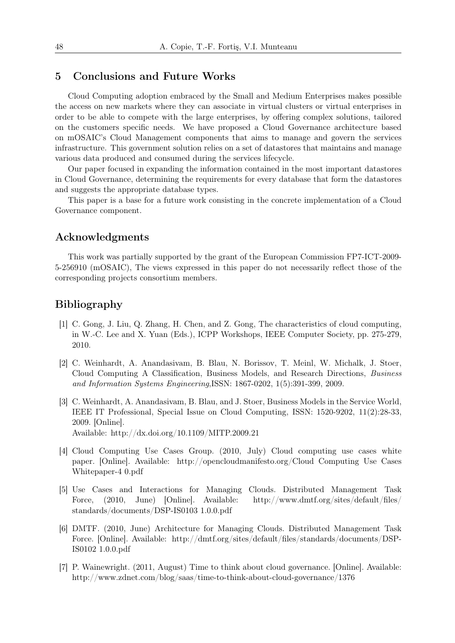### 5 Conclusions and Future Works

Cloud Computing adoption embraced by the Small and Medium Enterprises makes possible the access on new markets where they can associate in virtual clusters or virtual enterprises in order to be able to compete with the large enterprises, by offering complex solutions, tailored on the customers specific needs. We have proposed a Cloud Governance architecture based on mOSAIC's Cloud Management components that aims to manage and govern the services infrastructure. This government solution relies on a set of datastores that maintains and manage various data produced and consumed during the services lifecycle.

Our paper focused in expanding the information contained in the most important datastores in Cloud Governance, determining the requirements for every database that form the datastores and suggests the appropriate database types.

This paper is a base for a future work consisting in the concrete implementation of a Cloud Governance component.

### Acknowledgments

This work was partially supported by the grant of the European Commission FP7-ICT-2009- 5-256910 (mOSAIC), The views expressed in this paper do not necessarily reflect those of the corresponding projects consortium members.

## Bibliography

- [1] C. Gong, J. Liu, Q. Zhang, H. Chen, and Z. Gong, The characteristics of cloud computing, in W.-C. Lee and X. Yuan (Eds.), ICPP Workshops, IEEE Computer Society, pp. 275-279, 2010.
- [2] C. Weinhardt, A. Anandasivam, B. Blau, N. Borissov, T. Meinl, W. Michalk, J. Stoer, Cloud Computing A Classification, Business Models, and Research Directions, *Business and Information Systems Engineering*,ISSN: 1867-0202, 1(5):391-399, 2009.
- [3] C. Weinhardt, A. Anandasivam, B. Blau, and J. Stoer, Business Models in the Service World, IEEE IT Professional, Special Issue on Cloud Computing, ISSN: 1520-9202, 11(2):28-33, 2009. [Online]. Available: http://dx.doi.org/10.1109/MITP.2009.21
- [4] Cloud Computing Use Cases Group. (2010, July) Cloud computing use cases white paper. [Online]. Available: http://opencloudmanifesto.org/Cloud Computing Use Cases Whitepaper-4 0.pdf
- [5] Use Cases and Interactions for Managing Clouds. Distributed Management Task Force, (2010, June) [Online]. Available: http://www.dmtf.org/sites/default/files/ standards/documents/DSP-IS0103 1.0.0.pdf
- [6] DMTF. (2010, June) Architecture for Managing Clouds. Distributed Management Task Force. [Online]. Available: http://dmtf.org/sites/default/files/standards/documents/DSP-IS0102 1.0.0.pdf
- [7] P. Wainewright. (2011, August) Time to think about cloud governance. [Online]. Available: http://www.zdnet.com/blog/saas/time-to-think-about-cloud-governance/1376